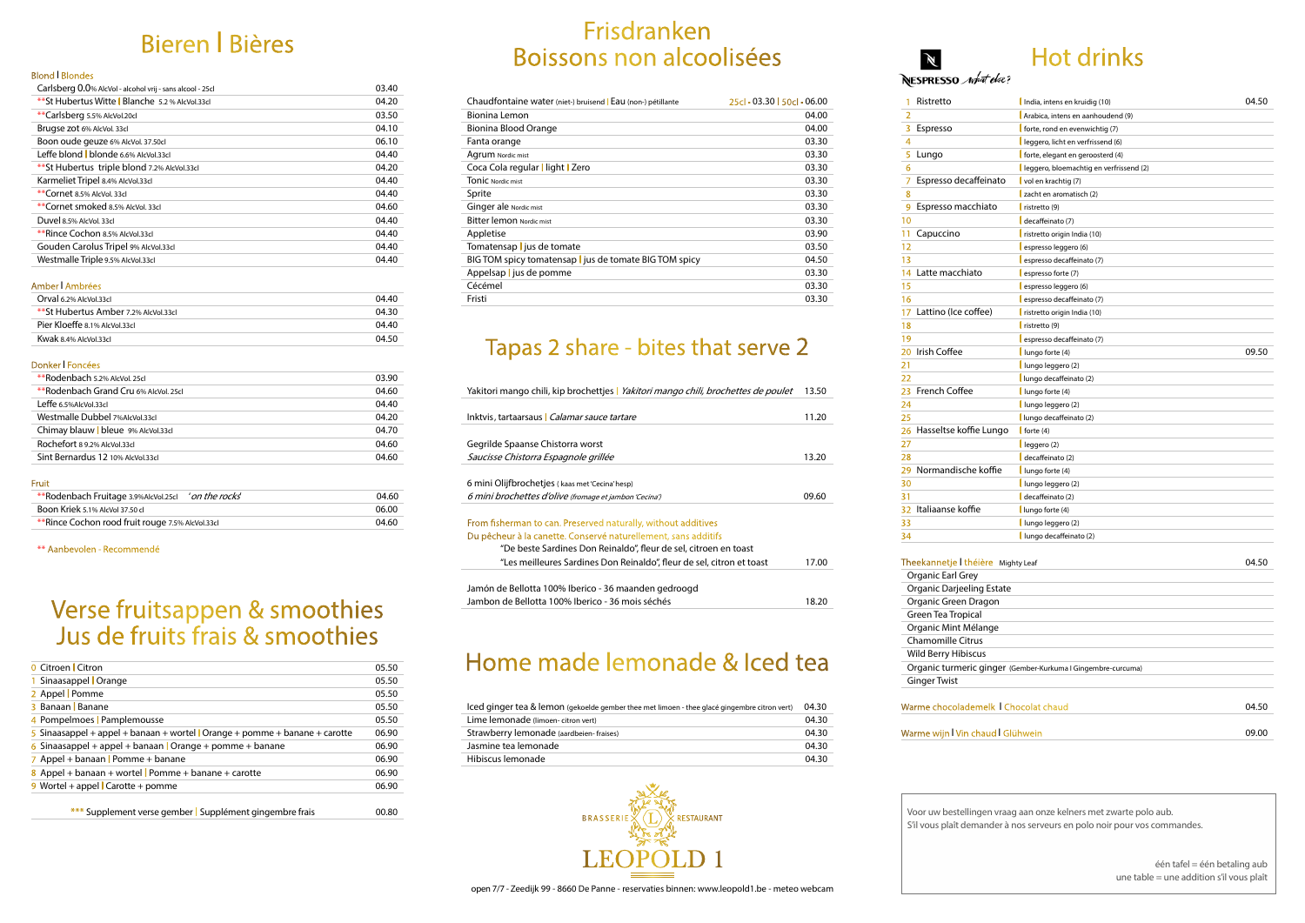### Frisdranken Boissons non alcoolisées

| Chaudfontaine water (niet-) bruisend Eau (non-) pétillante | 25cl - 03.30   50cl - 06.00 |
|------------------------------------------------------------|-----------------------------|
| Bionina Lemon                                              | 04.00                       |
| Bionina Blood Orange                                       | 04.00                       |
| Fanta orange                                               | 03.30                       |
| Agrum Nordic mist                                          | 03.30                       |
| Coca Cola regular   light   Zero                           | 03.30                       |
| <b>TONIC</b> Nordic mist                                   | 03.30                       |
| Sprite                                                     | 03.30                       |
| Ginger ale Nordic mist                                     | 03.30                       |
| <b>Bitter lemon Nordic mist</b>                            | 03.30                       |
| Appletise                                                  | 03.90                       |
| Tomatensap <b>l</b> jus de tomate                          | 03.50                       |
| BIG TOM spicy tomatensap   jus de tomate BIG TOM spicy     | 04.50                       |
| Appelsap   jus de pomme                                    | 03.30                       |
| Cécémel                                                    | 03.30                       |
| Fristi                                                     | 03.30                       |
|                                                            |                             |

## Tapas 2 share - bites that serve 2

| Yakitori mango chili, kip brochettjes <i>Yakitori mango chili, brochettes de poulet</i> |       |
|-----------------------------------------------------------------------------------------|-------|
|                                                                                         |       |
| Inktvis, tartaarsaus <i>Calamar sauce tartare</i>                                       | 11.20 |
|                                                                                         |       |
| Gegrilde Spaanse Chistorra worst                                                        |       |
| Saucisse Chistorra Espagnole grillée                                                    | 13.20 |
|                                                                                         |       |
| 6 mini Olijfbrochetjes (kaas met 'Cecina' hesp)                                         |       |
| 6 mini brochettes d'olive (fromage et jambon 'Cecina')                                  | 09.60 |
|                                                                                         |       |
| From fisherman to can. Preserved naturally, without additives                           |       |
| Du pêcheur à la canette. Conservé naturellement, sans additifs                          |       |
| "De beste Sardines Don Reinaldo", fleur de sel, citroen en toast                        |       |
| "Les meilleures Sardines Don Reinaldo", fleur de sel, citron et toast                   | 17.00 |
|                                                                                         |       |
| Jamón de Bellotta 100% Iberico - 36 maanden gedroogd                                    |       |
| Jambon de Bellotta 100% Iberico - 36 mois séchés                                        |       |

### Home made lemonade & Iced tea

| Iced ginger tea & lemon (gekoelde gember thee met limoen - thee glacé gingembre citron vert) | 04.30 |
|----------------------------------------------------------------------------------------------|-------|
| Lime lemonade (limoen- citron vert)                                                          | 04.30 |
| Strawberry lemonade (aardbeien-fraises)                                                      | 04.30 |
| Jasmine tea lemonade                                                                         | 04.30 |
| Hibiscus lemonade                                                                            | 04.30 |



## Bieren I Bières

#### Blond I Blondes

| Carlsberg 0.0% AlcVol - alcohol vrij - sans alcool - 25cl | 03.40 |
|-----------------------------------------------------------|-------|
| **St Hubertus Witte   Blanche 5.2 % AlcVol.33cl           | 04.20 |
| **Carlsberg 5.5% AlcVol.20cl                              | 03.50 |
| Brugse zot 6% AlcVol. 33cl                                | 04.10 |
| Boon oude geuze 6% AlcVol. 37.50cl                        | 06.10 |
| Leffe blond   blonde 6.6% AlcVol.33cl                     | 04.40 |
| ** St Hubertus triple blond 7.2% AlcVol.33cl              | 04.20 |
| Karmeliet Tripel 8.4% AlcVol.33cl                         | 04.40 |
| **Cornet 8.5% AlcVol. 33cl                                | 04.40 |
| **Cornet smoked 8.5% AlcVol. 33cl                         | 04.60 |
| Duvel 8.5% AlcVol. 33cl                                   | 04.40 |
| **Rince Cochon 8.5% AlcVol.33cl                           | 04.40 |
| Gouden Carolus Tripel 9% AlcVol.33cl                      | 04.40 |
| Westmalle Triple 9.5% AlcVol.33cl                         | 04.40 |

#### Amber I Ambrées

| Orval 6.2% AlcVol.33cl               | 04.40 |
|--------------------------------------|-------|
| **St Hubertus Amber 7.2% AlcVol.33cl | 04.30 |
| Pier Kloeffe 8.1% AlcVol.33cl        | 04.40 |
| Kwak 8.4% AlcVol.33cl                | 04.50 |

#### Donker I Foncées

| **Rodenbach 5.2% AlcVol. 25cl         | 03.90 |
|---------------------------------------|-------|
| **Rodenbach Grand Cru 6% AlcVol. 25cL | 04.60 |
| Leffe 6.5%AlcVol.33cl                 | 04.40 |
| Westmalle Dubbel 7%AlcVol.33cl        | 04.20 |
| Chimay blauw   bleue 9% AlcVol.33cl   | 04.70 |
| Rochefort 89.2% AlcVol.33cl           | 04.60 |
| Sint Bernardus 12 10% AlcVol.33cl     | 04.60 |

#### Fruit

| **Rodenbach Fruitage 3.9%AlcVol.25cl <i>'on the rocks'</i> | 04.60 |
|------------------------------------------------------------|-------|
| Boon Kriek 5.1% AlcVol 37.50 cl                            | 06.00 |
| **Rince Cochon rood fruit rouge 7.5% AlcVol.33cl           | 04.60 |

\*\* Aanbevolen - Recommendé

### Verse fruitsappen & smoothies Jus de fruits frais & smoothies

| <b>0</b> Citroen Citron                                                   | 05.50 |
|---------------------------------------------------------------------------|-------|
| 1 Sinaasappel   Orange                                                    | 05.50 |
| 2 Appel Pomme                                                             | 05.50 |
| 3 Banaan Banane                                                           | 05.50 |
| 4 Pompelmoes   Pamplemousse                                               | 05.50 |
| 5 Sinaasappel + appel + banaan + wortel Orange + pomme + banane + carotte | 06.90 |
| 6 Sinaasappel + appel + banaan   Orange + pomme + banane                  | 06.90 |
| 7 Appel + banaan   Pomme + banane                                         | 06.90 |
| 8 Appel + banaan + wortel Pomme + banane + carotte                        | 06.90 |
| 9 Wortel + appel $\sqrt{\frac{1}{1}}$ Carotte + pomme                     | 06.90 |
|                                                                           |       |

\*\*\* Supplement verse gember I Supplément gingembre frais 00.80

## Hot drinks

NESPRESSO *what else?* 

 $\mathbb N$ 

| <b>Ik   Chocolat chaud</b> | 04.50 |
|----------------------------|-------|
|                            |       |
| ud I Glühwein.             | 09.00 |

| 1              | Ristretto                          | India, intens en kruidig (10)           | 04.50 |
|----------------|------------------------------------|-----------------------------------------|-------|
| $\overline{2}$ |                                    | Arabica, intens en aanhoudend (9)       |       |
| 3              | Espresso                           | forte, rond en evenwichtig (7)          |       |
| 4              |                                    | leggero, licht en verfrissend (6)       |       |
| 5              | Lungo                              | forte, elegant en geroosterd (4)        |       |
| 6              |                                    | leggero, bloemachtig en verfrissend (2) |       |
| 7              | Espresso decaffeinato              | vol en krachtig (7)                     |       |
| 8              |                                    | zacht en aromatisch (2)                 |       |
| 9              | Espresso macchiato                 | $\vert$ ristretto (9)                   |       |
| 10             |                                    | decaffeinato (7)                        |       |
| 11             | Capuccino                          | ristretto origin India (10)             |       |
| 12             |                                    | espresso leggero (6)                    |       |
| 13             |                                    | espresso decaffeinato (7)               |       |
| 14             | Latte macchiato                    | espresso forte (7)                      |       |
| 15             |                                    | espresso leggero (6)                    |       |
| 16             |                                    | espresso decaffeinato (7)               |       |
| 17             | Lattino (Ice coffee)               | ristretto origin India (10)             |       |
| 18             |                                    | $\vert$ ristretto (9)                   |       |
| 19             |                                    | espresso decaffeinato (7)               |       |
| 20             | Irish Coffee                       | lungo forte (4)                         | 09.50 |
| 21             |                                    | lungo leggero (2)                       |       |
| 22             |                                    | lungo decaffeinato (2)                  |       |
| 23             | <b>French Coffee</b>               | lungo forte (4)                         |       |
| 24             |                                    | lungo leggero (2)                       |       |
| 25             |                                    | lungo decaffeinato (2)                  |       |
|                | 26 Hasseltse koffie Lungo          | $\int$ forte (4)                        |       |
| 27             |                                    | leggero (2)                             |       |
| 28             |                                    | decaffeinato (2)                        |       |
| 29             | Normandische koffie                | lungo forte (4)                         |       |
| 30             |                                    | l lungo leggero (2)                     |       |
| 31             |                                    | decaffeinato (2)                        |       |
| 32             | Italiaanse koffie                  | lungo forte (4)                         |       |
| 33             |                                    | l lungo leggero (2)                     |       |
| 34             |                                    | l lungo decaffeinato (2)                |       |
|                |                                    |                                         |       |
|                | Theekannetje I théière Mighty Leaf |                                         | 04.50 |
|                | Organic Earl Grey                  |                                         |       |
|                | <b>Organic Darjeeling Estate</b>   |                                         |       |
|                | Organic Green Dragon               |                                         |       |
|                | Green Tea Tropical                 |                                         |       |
|                | Organic Mint Mélange               |                                         |       |
|                | <b>Chamomille Citrus</b>           |                                         |       |
|                | 1.1 <sub>m</sub><br>.              |                                         |       |

| 1  | Ristretto                          | India, intens en kruidig (10)                                | 04.50 |
|----|------------------------------------|--------------------------------------------------------------|-------|
| 2  |                                    | Arabica, intens en aanhoudend (9)                            |       |
| 3  | Espresso                           | forte, rond en evenwichtig (7)                               |       |
| 4  |                                    | leggero, licht en verfrissend (6)                            |       |
| 5  | Lungo                              | forte, elegant en geroosterd (4)                             |       |
| 6  |                                    | leggero, bloemachtig en verfrissend (2)                      |       |
| 7  | Espresso decaffeinato              | vol en krachtig (7)                                          |       |
| 8  |                                    | zacht en aromatisch (2)                                      |       |
| 9  | Espresso macchiato                 | $\vert$ ristretto (9)                                        |       |
| 10 |                                    | decaffeinato (7)                                             |       |
| 11 | Capuccino                          | ristretto origin India (10)                                  |       |
| 12 |                                    | espresso leggero (6)                                         |       |
| 13 |                                    | espresso decaffeinato (7)                                    |       |
| 14 | Latte macchiato                    | espresso forte (7)                                           |       |
| 15 |                                    | espresso leggero (6)                                         |       |
| 16 |                                    | espresso decaffeinato (7)                                    |       |
| 17 | Lattino (Ice coffee)               | ristretto origin India (10)                                  |       |
| 18 |                                    | $\vert$ ristretto (9)                                        |       |
| 19 |                                    | espresso decaffeinato (7)                                    |       |
| 20 | Irish Coffee                       | lungo forte (4)                                              | 09.50 |
| 21 |                                    | lungo leggero (2)                                            |       |
| 22 |                                    | lungo decaffeinato (2)                                       |       |
| 23 | <b>French Coffee</b>               | $l$ lungo forte (4)                                          |       |
| 24 |                                    | lungo leggero (2)                                            |       |
| 25 |                                    | lungo decaffeinato (2)                                       |       |
| 26 | Hasseltse koffie Lungo             | forte $(4)$                                                  |       |
| 27 |                                    | leggero (2)                                                  |       |
| 28 |                                    | decaffeinato (2)                                             |       |
| 29 | Normandische koffie                | lungo forte (4)                                              |       |
| 30 |                                    | l lungo leggero (2)                                          |       |
| 31 |                                    | decaffeinato (2)                                             |       |
| 32 | Italiaanse koffie                  | lungo forte (4)                                              |       |
| 33 |                                    | l lungo leggero (2)                                          |       |
| 34 |                                    | l lungo decaffeinato (2)                                     |       |
|    |                                    |                                                              |       |
|    | Theekannetje I théière Mighty Leaf |                                                              | 04.50 |
|    | Organic Earl Grey                  |                                                              |       |
|    | Organic Darjeeling Estate          |                                                              |       |
|    | Organic Green Dragon               |                                                              |       |
|    | Green Tea Tropical                 |                                                              |       |
|    | Organic Mint Mélange               |                                                              |       |
|    | Chamomille Citrus                  |                                                              |       |
|    | Wild Berry Hibiscus                |                                                              |       |
|    |                                    | Organic turmeric ginger (Gember-Kurkuma I Gingembre-curcuma) |       |

Ginger Twist

### Warme chocolademe

### Warme wijn I Vin cha

Voor uw bestellingen vraag aan onze kelners met zwarte polo aub.

S'il vous plaît demander à nos serveurs en polo noir pour vos commandes.

één tafel = één betaling aub une table = une addition s'il vous plaît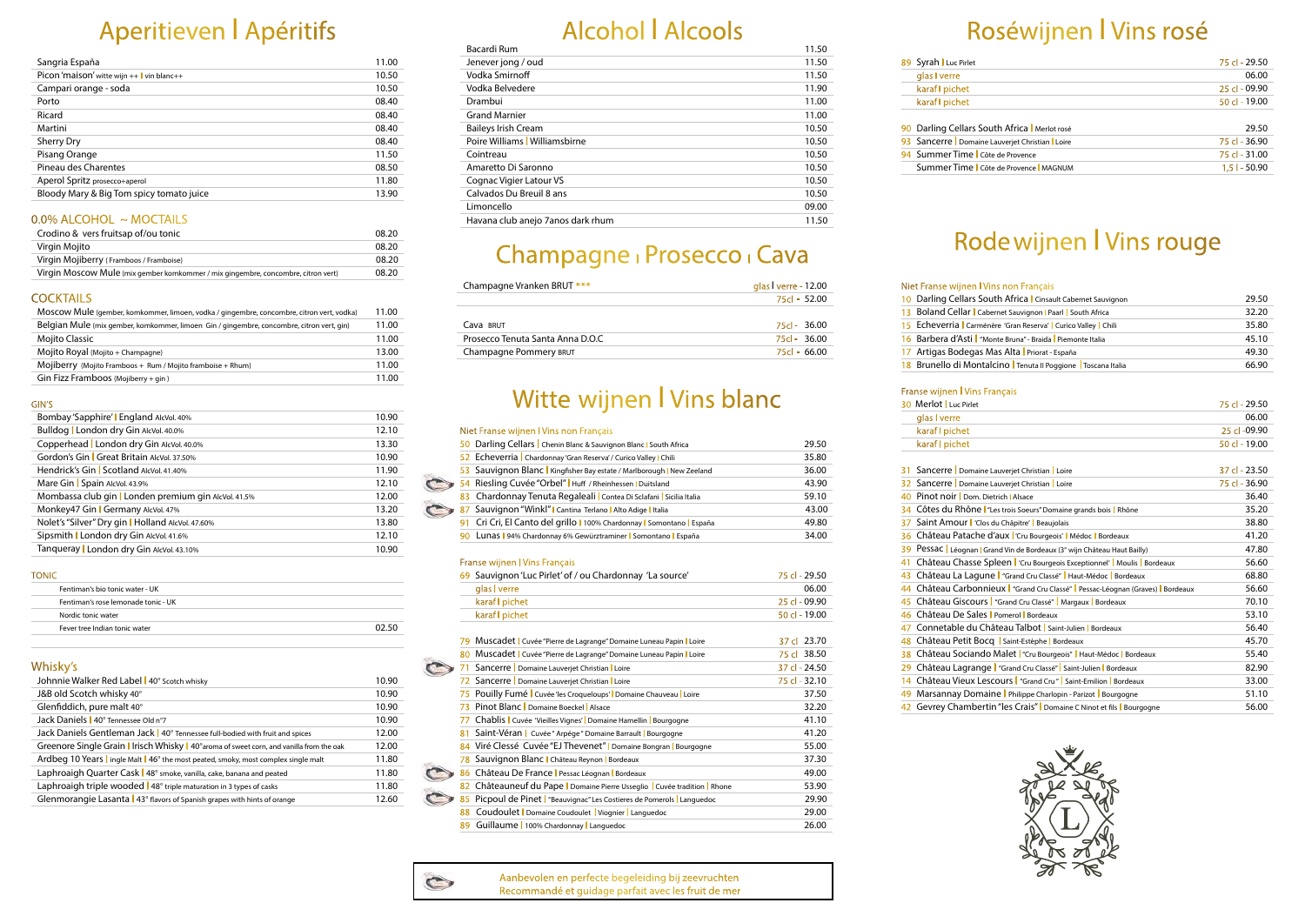## Aperitieven I Apéritifs

| Sangria España                             | 11.00 |
|--------------------------------------------|-------|
| Picon 'maison' witte wijn $++$ vin blanc++ | 10.50 |
| Campari orange - soda                      | 10.50 |
| Porto                                      | 08.40 |
| Ricard                                     | 08.40 |
| Martini                                    | 08.40 |
| <b>Sherry Dry</b>                          | 08.40 |
| Pisang Orange                              | 11.50 |
| Pineau des Charentes                       | 08.50 |
| Aperol Spritz prosecco+aperol              | 11.80 |
| Bloody Mary & Big Tom spicy tomato juice   | 13.90 |
|                                            |       |

### 0.0% ALCOHOL ~ MOCTAILS

| Crodino & vers fruitsap of/ou tonic                                               | 08.20 |
|-----------------------------------------------------------------------------------|-------|
| Virgin Mojito                                                                     | 08.20 |
| Virgin Mojiberry (Framboos / Framboise)                                           | 08.20 |
| Virgin Moscow Mule (mix gember komkommer / mix gingembre, concombre, citron vert) | 08.20 |

### **COCKTAILS**

| 11.00 |
|-------|
| 11.00 |
| 11.00 |
| 13.00 |
| 11.00 |
| 11.00 |
|       |

#### GIN'S

| Bombay 'Sapphire'   England AlcVol. 40%              | 10.90 |
|------------------------------------------------------|-------|
| Bulldog   London dry Gin AlcVol. 40.0%               | 12.10 |
| Copperhead   London dry Gin AlcVol. 40.0%            | 13.30 |
| Gordon's Gin   Great Britain AlcVol. 37.50%          | 10.90 |
| Hendrick's Gin Scotland AlcVol. 41.40%               | 11.90 |
| Mare Gin Spain AlcVol. 43.9%                         | 12.10 |
| Mombassa club gin   Londen premium gin AlcVol. 41.5% | 12.00 |
| Monkey47 Gin   Germany AlcVol. 47%                   | 13.20 |
| Nolet's "Silver" Dry gin   Holland AlcVol. 47.60%    | 13.80 |
| Sipsmith   London dry Gin AlcVol. 41.6%              | 12.10 |
| Tanqueray   London dry Gin AlcVol. 43.10%            | 10.90 |

#### TONIC

| .                                   |       |  |
|-------------------------------------|-------|--|
| Fentiman's bio tonic water - UK     |       |  |
| Fentiman's rose lemonade tonic - UK |       |  |
| Nordic tonic water                  |       |  |
| Fever tree Indian tonic water       | ሰን 56 |  |
|                                     |       |  |

### Whisky's

| .                                                                                         |       |
|-------------------------------------------------------------------------------------------|-------|
| Johnnie Walker Red Label   40° Scotch whisky                                              | 10.90 |
| J&B old Scotch whisky 40°                                                                 | 10.90 |
| Glenfiddich, pure malt 40°                                                                | 10.90 |
| Jack Daniels   40° Tennessee Old n°7                                                      | 10.90 |
| Jack Daniels Gentleman Jack   40° Tennessee full-bodied with fruit and spices             | 12.00 |
| Greenore Single Grain   Irisch Whisky   40° aroma of sweet corn, and vanilla from the oak | 12.00 |
| Ardbeg 10 Years   ingle Malt   46° the most peated, smoky, most complex single malt       | 11.80 |
| Laphroaigh Quarter Cask   48° smoke, vanilla, cake, banana and peated                     | 11.80 |
| Laphroaigh triple wooded   48° triple maturation in 3 types of casks                      | 11.80 |
| Glenmorangie Lasanta   43° flavors of Spanish grapes with hints of orange                 | 12.60 |
|                                                                                           |       |

# Alcohol I Alcools

## Witte wijnen I Vins blanc

### Niet Franse wijnen I Vins non Français

#### Franse wijnen I Vins Français 30 Merlot Luc Pirlet

|     | Niet Franse Wijnen I vins non Français                                     |                 |
|-----|----------------------------------------------------------------------------|-----------------|
| 50  | Darling Cellars   Chenin Blanc & Sauvignon Blanc   South Africa            | 29.50           |
|     | 52 Echeverria   Chardonnay 'Gran Reserva' / Curico Valley   Chili          | 35.80           |
| 53  | Sauvignon Blanc   Kingfisher Bay estate / Marlborough   New Zeeland        | 36.00           |
|     | 54 Riesling Cuvée "Orbel"   Huff / Rheinhessen   Duitsland                 | 43.90           |
| 83. | Chardonnay Tenuta Regaleali   Contea Di Sclafani   Sicilia Italia          | 59.10           |
| 87  | Sauvignon "Winkl"   Cantina Terlano   Alto Adige   Italia                  | 43.00           |
| 91. | Cri Cri, El Canto del grillo   100% Chardonnay   Somontano   España        | 49.80           |
|     | 90 Lunas   94% Chardonnay 6% Gewürztraminer   Somontano   España           | 34.00           |
|     |                                                                            |                 |
|     | <b>Franse wijnen I Vins Français</b>                                       |                 |
|     | 69 Sauvignon 'Luc Pirlet' of / ou Chardonnay 'La source'                   | 75 cl - 29.50   |
|     | glas I verre                                                               | 06.00           |
|     | karaf I pichet                                                             | $25$ cl - 09.90 |
|     | karaf I pichet                                                             | 50 cl - 19.00   |
|     |                                                                            |                 |
|     | 79 Muscadet   Cuvée "Pierre de Lagrange" Domaine Luneau Papin   Loire      | 37 cl 23.70     |
|     | 80 Muscadet   Cuvée "Pierre de Lagrange" Domaine Luneau Papin   Loire      | 75 cl 38.50     |
|     | Sancerre Domaine Lauverjet Christian Loire                                 | 37 cl - 24.50   |
|     | 72 Sancerre   Domaine Lauverjet Christian   Loire                          | 75 cl - 32.10   |
|     | 75 Pouilly Fumé   Cuvée 'les Croqueloups'   Domaine Chauveau   Loire       | 37.50           |
| 73. | Pinot Blanc   Domaine Boeckel   Alsace                                     | 32.20           |
| 77. | Chablis   Cuvée 'Vieilles Vignes'   Domaine Hamellin   Bourgogne           | 41.10           |
| 81. | Saint-Véran   Cuvée" Arpége" Domaine Barrault   Bourgogne                  | 41.20           |
|     | 84 Viré Clessé Cuvée "EJ Thevenet"   Domaine Bongran   Bourgogne           | 55.00           |
| 78  | Sauvignon Blanc   Château Reynon   Bordeaux                                | 37.30           |
|     | 86 Château De France   Pessac Léognan   Bordeaux                           | 49.00           |
|     | 82 Châteauneuf du Pape   Domaine Pierre Usseglio   Cuvée tradition   Rhone | 53.90           |
|     | 85 Picpoul de Pinet   "Beauvignac" Les Costieres de Pomerols   Languedoc   | 29.90           |

| 89 Syrah Luc Pirlet |  |
|---------------------|--|
| glas verre          |  |
| karaf   pichet      |  |
| karaf   pichet      |  |
|                     |  |

90 Darling Cellars South 93 Sancerre | Domaine 94 Summer Time | Côte

88 Coudoulet I Domaine Coudoulet I Viognier I Languedoc 29.00 89 Guillaume I 100% Chardonnay I Languedoc 26.00

|  | Niet Franse wijnen IV |  |
|--|-----------------------|--|
|  | 10 Darling Cellars Sc |  |

- 13 Boland Cellar | Cal
- 15 Echeverria | Carmé
- 16 Barbera d'Asti | "M
- 17 Artigas Bodegas 18 Brunello di Monta

| Fianse Wijnen Fvins Fiançais                                                     |                                                                                                        |
|----------------------------------------------------------------------------------|--------------------------------------------------------------------------------------------------------|
| 30 Merlot   Luc Pirlet                                                           | 75 cl - 29.50                                                                                          |
| glas I verre                                                                     | 06.00                                                                                                  |
| karaf I pichet                                                                   | 25 cl -09.90                                                                                           |
| karaf I pichet                                                                   | 50 cl - 19.00                                                                                          |
|                                                                                  |                                                                                                        |
|                                                                                  | $37$ cl - 23.50                                                                                        |
|                                                                                  | 75 cl - 36.90                                                                                          |
| 40 Pinot noir Dom. Dietrich   Alsace                                             | 36.40                                                                                                  |
| 34 Côtes du Rhône <sup>l</sup> "Les trois Soeurs" Domaine grands bois l Rhône    | 35.20                                                                                                  |
| 37 Saint Amour   'Clos du Châpitre'   Beaujolais                                 | 38.80                                                                                                  |
| 36 Château Patache d'aux l'Cru Bourgeois'   Médoc   Bordeaux                     | 41.20                                                                                                  |
| 39 Pessac Léognan I Grand Vin de Bordeaux (3° wijn Château Haut Bailly)          | 47.80                                                                                                  |
| 41 Château Chasse Spleen   'Cru Bourgeois Exceptionnel'   Moulis   Bordeaux      | 56.60                                                                                                  |
| 43 Château La Lagune   "Grand Cru Classé"   Haut-Médoc   Bordeaux                | 68.80                                                                                                  |
| 44 Château Carbonnieux   "Grand Cru Classé"   Pessac-Léognan (Graves)   Bordeaux | 56.60                                                                                                  |
| 45 Château Giscours   "Grand Cru Classé"   Margaux   Bordeaux                    | 70.10                                                                                                  |
| 46 Château De Sales Pomerol Bordeaux                                             | 53.10                                                                                                  |
| 47 Connetable du Château Talbot   Saint-Julien   Bordeaux                        | 56.40                                                                                                  |
| 48 Château Petit Bocq Saint-Estèphe Bordeaux                                     | 45.70                                                                                                  |
| 38 Château Sociando Malet   "Cru Bourgeois"   Haut-Médoc   Bordeaux              | 55.40                                                                                                  |
| 29 Château Lagrange   "Grand Cru Classé"   Saint-Julien   Bordeaux               | 82.90                                                                                                  |
| 14 Château Vieux Lescours   "Grand Cru"   Saint-Emilion   Bordeaux               | 33.00                                                                                                  |
| 49 Marsannay Domaine   Philippe Charlopin - Parizot   Bourgogne                  | 51.10                                                                                                  |
|                                                                                  | 31 Sancerre   Domaine Lauverjet Christian   Loire<br>32 Sancerre   Domaine Lauverjet Christian   Loire |



| 30 Meriot Luc Pirlet |
|----------------------|
| glas I verre         |
| karaf I pichet       |
| karaf I pichet       |

### 31 Sancerre | Domaine

- 32 Sancerre | Domaine 40 Pinot noir | Dom. D
- 34 Côtes du Rhône I
- 37 Saint Amour | 'Clos
- 36 Château Patache
- 39 Pessac Léognan I G
- 41 Château Chasse S
- 43 Château La Lagur
- 44 Château Carbonn 45 Château Giscours
- 46 Château De Sales
- 47 Connetable du Ch
- 48 Château Petit Boo
- 38 Château Sociando
- 29 Château Lagrang
- 14 Château Vieux Le
- 49 Marsannay Doma
- 42 Gevrey Chambertin "les Crais" | Domaine C Ninot et fils | Bourgogne 56.00



# Rodewijnen I Vins rouge

#### Vins non Francais

| <b>Outh Africa</b>   Cinsault Cabernet Sauvignon | 29.50 |
|--------------------------------------------------|-------|
| bernet Sauvignon   Paarl South Africa            | 32.20 |
| énère 'Gran Reserva'   Curico Valley   Chili     | 35.80 |
| Aonte Bruna" - Braida Piemonte Italia            | 45.10 |
| Mas Alta   Priorat - España                      | 49.30 |
| alcino Tenuta II Poggione Toscana Italia         | 66.90 |
|                                                  |       |

| 89 Syrah Luc Pirlet                               | 75 cl - 29.50   |
|---------------------------------------------------|-----------------|
| glas verre                                        | 06.00           |
| karaf   pichet                                    | $25$ cl - 09.90 |
| karaf   pichet                                    | $50$ cl - 19.00 |
|                                                   |                 |
| 90 Darling Cellars South Africa Merlot rosé       | 29.50           |
| 93 Sancerre   Domaine Lauverjet Christian   Loire | $75$ cl - 36.90 |
| 94 Summer Time   Côte de Provence                 | $75$ cl - 31.00 |
| Summer Time   Côte de Provence   MAGNUM           | $1,5$   - 50.90 |

## Roséwijnen I Vins rosé

| Bacardi Rum                       | 11.50 |
|-----------------------------------|-------|
| Jenever jong / oud                | 11.50 |
| Vodka Smirnoff                    | 11.50 |
| Vodka Belvedere                   | 11.90 |
| Drambui                           | 11.00 |
| <b>Grand Marnier</b>              | 11.00 |
| Baileys Irish Cream               | 10.50 |
| Poire Williams   Williamsbirne    | 10.50 |
| Cointreau                         | 10.50 |
| Amaretto Di Saronno               | 10.50 |
| Cognac Vigier Latour VS           | 10.50 |
| Calvados Du Breuil 8 ans          | 10.50 |
| Limoncello                        | 09.00 |
| Havana club anejo 7anos dark rhum | 11.50 |

# Champagne <sub>I</sub> Prosecco <sub>I</sub> Cava

| Champagne Vranken BRUT ***       | glas verre - 12.00 |
|----------------------------------|--------------------|
|                                  | $75c - 52.00$      |
|                                  |                    |
| Cava BRUT                        | $75c - 36.00$      |
| Prosecco Tenuta Santa Anna D.O.C | $75c - 36.00$      |
| Champagne Pommery BRUT           | $75c - 66.00$      |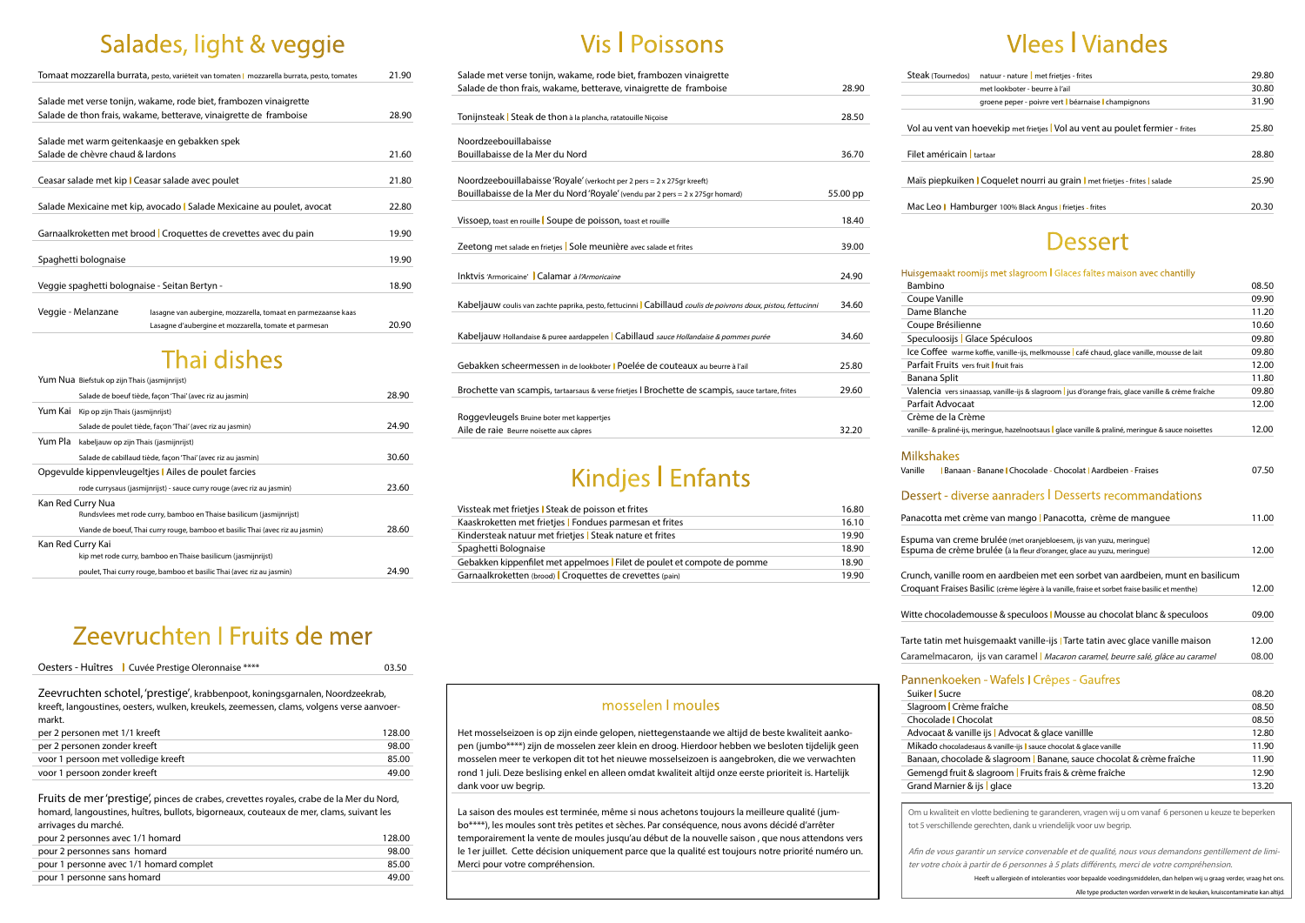## Salades, light & veggie

|                                                   | Tomaat mozzarella burrata, pesto, variëteit van tomaten   mozzarella burrata, pesto, tomates | 21.90 |
|---------------------------------------------------|----------------------------------------------------------------------------------------------|-------|
|                                                   |                                                                                              |       |
|                                                   | Salade met verse tonijn, wakame, rode biet, frambozen vinaigrette                            |       |
|                                                   | Salade de thon frais, wakame, betterave, vinaigrette de framboise                            | 28.90 |
|                                                   |                                                                                              |       |
| Salade met warm geitenkaasje en gebakken spek     |                                                                                              |       |
| Salade de chèvre chaud & lardons                  |                                                                                              | 21.60 |
|                                                   |                                                                                              |       |
| Ceasar salade met kip   Ceasar salade avec poulet |                                                                                              | 21.80 |
|                                                   |                                                                                              |       |
|                                                   | Salade Mexicaine met kip, avocado   Salade Mexicaine au poulet, avocat                       | 22.80 |
|                                                   |                                                                                              |       |
|                                                   | Garnaalkroketten met brood   Croquettes de crevettes avec du pain                            | 19.90 |
|                                                   |                                                                                              |       |
| Spaghetti bolognaise                              |                                                                                              | 19.90 |
|                                                   |                                                                                              |       |
| Veggie spaghetti bolognaise - Seitan Bertyn -     |                                                                                              | 18.90 |
|                                                   |                                                                                              |       |
| Veggie - Melanzane                                | lasagne van aubergine, mozzarella, tomaat en parmezaanse kaas                                |       |
|                                                   | Lasagne d'aubergine et mozzarella, tomate et parmesan                                        | 20.90 |

## Thai dishes

|                   | Yum Nua Biefstuk op zijn Thais (jasmijnrijst)                                  |       |
|-------------------|--------------------------------------------------------------------------------|-------|
|                   | Salade de boeuf tiède, façon 'Thai' (avec riz au jasmin)                       | 28.90 |
| Yum Kai           | Kip op zijn Thais (jasmijnrijst)                                               |       |
|                   | Salade de poulet tiède, façon 'Thai' (avec riz au jasmin)                      | 24.90 |
| Yum Pla           | kabeljauw op zijn Thais (jasmijnrijst)                                         |       |
|                   | Salade de cabillaud tiède, façon 'Thai' (avec riz au jasmin)                   | 30.60 |
|                   | Opgevulde kippenvleugeltjes   Ailes de poulet farcies                          |       |
|                   | rode currysaus (jasmijnrijst) - sauce curry rouge (avec riz au jasmin)         | 23.60 |
| Kan Red Curry Nua |                                                                                |       |
|                   | Rundsvlees met rode curry, bamboo en Thaise basilicum (jasmijnrijst)           |       |
|                   | Viande de boeuf, Thai curry rouge, bamboo et basilic Thai (avec riz au jasmin) | 28.60 |
| Kan Red Curry Kai |                                                                                |       |
|                   | kip met rode curry, bamboo en Thaise basilicum (jasmijnrijst)                  |       |
|                   | poulet, Thai curry rouge, bamboo et basilic Thai (avec riz au jasmin)          | 24.90 |

## Zeevruchten I Fruits de mer

#### Oesters - Huîtres I Cuvée Prestige Oleronnaise \*\*\*\* 03.50

Zeevruchten schotel, 'prestige', krabbenpoot, koningsgarnalen, Noordzeekrab, kreeft, langoustines, oesters, wulken, kreukels, zeemessen, clams, volgens verse aanvoermarkt.

| per 2 personen met 1/1 kreeft       | 128.00 |
|-------------------------------------|--------|
| per 2 personen zonder kreeft        | 98.00  |
| voor 1 persoon met volledige kreeft | 85.00  |
| voor 1 persoon zonder kreeft        | 49.00  |

Fruits de mer 'prestige', pinces de crabes, crevettes royales, crabe de la Mer du Nord, homard, langoustines, huîtres, bullots, bigorneaux, couteaux de mer, clams, suivant les arrivages du marché.

| pour 2 personnes avec 1/1 homard        | 128.00 |
|-----------------------------------------|--------|
| pour 2 personnes sans homard            | 98.00  |
| pour 1 personne avec 1/1 homard complet | 85.00  |
| pour 1 personne sans homard             | 49.00  |
|                                         |        |

# Vis I Poissons

| Salade met verse tonijn, wakame, rode biet, frambozen vinaigrette                                            |          | Steak    |
|--------------------------------------------------------------------------------------------------------------|----------|----------|
| Salade de thon frais, wakame, betterave, vinaigrette de framboise                                            | 28.90    |          |
|                                                                                                              |          |          |
| Tonijnsteak   Steak de thon à la plancha, ratatouille Niçoise                                                | 28.50    |          |
|                                                                                                              |          | Vol au   |
| Noordzeebouillabaisse                                                                                        |          |          |
| Bouillabaisse de la Mer du Nord                                                                              | 36.70    | Filet a  |
|                                                                                                              |          |          |
| Noordzeebouillabaisse 'Royale' (verkocht per 2 pers = 2 x 275gr kreeft)                                      |          | Maïs p   |
| Bouillabaisse de la Mer du Nord 'Royale' (vendu par 2 pers = 2 x 275gr homard)                               | 55.00 pp |          |
|                                                                                                              |          | Mac Le   |
| Vissoep, toast en rouille Soupe de poisson, toast et rouille                                                 | 18.40    |          |
|                                                                                                              |          |          |
| Zeetong met salade en frietjes   Sole meunière avec salade et frites                                         | 39.00    |          |
|                                                                                                              |          |          |
| Inktvis 'Armoricaine'   Calamar à l'Armoricaine                                                              | 24.90    | Huisger  |
|                                                                                                              |          | Bambi    |
| Kabeljauw coulis van zachte paprika, pesto, fettucinni Cabillaud coulis de poivrons doux, pistou, fettucinni | 34.60    | Coupe    |
|                                                                                                              |          | Dame     |
|                                                                                                              |          | Coupe    |
| Kabeljauw Hollandaise & puree aardappelen Cabillaud sauce Hollandaise & pommes purée                         | 34.60    | Specu    |
|                                                                                                              |          | Ice Co   |
| Gebakken scheermessen in de lookboter   Poelée de couteaux au beurre à l'ail                                 | 25.80    | Parfait  |
|                                                                                                              |          | Banan    |
| Brochette van scampis, tartaarsaus & verse frietjes   Brochette de scampis, sauce tartare, frites            | 29.60    | Valend   |
|                                                                                                              |          | Parfait  |
| Roggevleugels Bruine boter met kappertjes                                                                    |          | Crème    |
| Aile de raie Beurre noisette aux câpres                                                                      | 32.20    | vanille- |

# Kindjes I Enfants

| Vissteak met frietjes I Steak de poisson et frites                       | 16.80 |
|--------------------------------------------------------------------------|-------|
| Kaaskroketten met frietjes l Fondues parmesan et frites                  | 16.10 |
| Kindersteak natuur met frietjes <b>I</b> Steak nature et frites          | 19.90 |
| Spaghetti Bolognaise                                                     | 18.90 |
| Gebakken kippenfilet met appelmoes l Filet de poulet et compote de pomme | 18.90 |
| Garnaalkroketten (brood) Croquettes de crevettes (pain)                  | 19.90 |
|                                                                          |       |

### mosselen I moules

Het mosselseizoen is op zijn einde gelopen, niettegenstaande we altijd de beste kwaliteit aankopen (jumbo\*\*\*\*) zijn de mosselen zeer klein en droog. Hierdoor hebben we besloten tijdelijk geen mosselen meer te verkopen dit tot het nieuwe mosselseizoen is aangebroken, die we verwachten rond 1 juli. Deze beslising enkel en alleen omdat kwaliteit altijd onze eerste prioriteit is. Hartelijk dank voor uw begrip.

La saison des moules est terminée, même si nous achetons toujours la meilleure qualité (jumbo\*\*\*\*), les moules sont très petites et sèches. Par conséquence, nous avons décidé d'arrêter temporairement la vente de moules jusqu'au début de la nouvelle saison , que nous attendons vers le 1er juillet. Cette décision uniquement parce que la qualité est toujours notre priorité numéro un. Merci pour votre compréhension.

# Vlees I Viandes

### **Dessert**

#### maakt roomijs met slagroom | Glaces faîtes maison avec chantilly

| & slagroom <mark>l</mark> Banane, sauce chocolat & crème fraîche | 11.90 |
|------------------------------------------------------------------|-------|
| igroom <mark>I</mark> Fruits frais & crème fraîche               | 12.90 |
| l glace                                                          | 13.20 |
|                                                                  |       |

| Steak (Tournedos) natuur - nature   met frietjes - frites                    | 29.80 |
|------------------------------------------------------------------------------|-------|
| met lookboter - beurre à l'ail                                               | 30.80 |
| groene peper - poivre vert béarnaise champignons                             | 31.90 |
| Vol au vent van hoevekip met frietjes Vol au vent au poulet fermier - frites | 25.80 |
| Filet américain l tartaar                                                    | 28.80 |
| Maïs piepkuiken   Coquelet nourri au grain   met frietjes - frites   salade  | 25.90 |
| Mac Leo   Hamburger 100% Black Angus   frietjes - frites                     | 20.30 |

| Bambino                                                                                                                                                                              | 08.50 |
|--------------------------------------------------------------------------------------------------------------------------------------------------------------------------------------|-------|
| Coupe Vanille                                                                                                                                                                        | 09.90 |
| Dame Blanche                                                                                                                                                                         | 11.20 |
| Coupe Brésilienne                                                                                                                                                                    | 10.60 |
| Speculoosijs   Glace Spéculoos                                                                                                                                                       | 09.80 |
| Ice Coffee warme koffie, vanille-ijs, melkmousse   café chaud, glace vanille, mousse de lait                                                                                         | 09.80 |
| Parfait Fruits vers fruit I fruit frais                                                                                                                                              | 12.00 |
| Banana Split                                                                                                                                                                         | 11.80 |
| Valencia vers sinaassap, vanille-ijs & slagroom   jus d'orange frais, glace vanille & crème fraîche                                                                                  | 09.80 |
| Parfait Advocaat                                                                                                                                                                     | 12.00 |
| Crème de la Crème                                                                                                                                                                    |       |
| vanille- & praliné-ijs, meringue, hazelnootsaus   glace vanille & praliné, meringue & sauce noisettes                                                                                | 12.00 |
|                                                                                                                                                                                      |       |
| <b>Milkshakes</b>                                                                                                                                                                    |       |
| Vanille<br>I Banaan - Banane I Chocolade - Chocolat I Aardbeien - Fraises                                                                                                            | 07.50 |
|                                                                                                                                                                                      |       |
| Dessert - diverse aanraders   Desserts recommandations                                                                                                                               |       |
| Panacotta met crème van mango l Panacotta, crème de manguee                                                                                                                          | 11.00 |
|                                                                                                                                                                                      |       |
| Espuma van creme brulée (met oranjebloesem, ijs van yuzu, meringue)                                                                                                                  |       |
| Espuma de crème brulée (à la fleur d'oranger, glace au yuzu, meringue)                                                                                                               | 12.00 |
|                                                                                                                                                                                      |       |
| Crunch, vanille room en aardbeien met een sorbet van aardbeien, munt en basilicum<br>Croquant Fraises Basilic (crème légère à la vanille, fraise et sorbet fraise basilic et menthe) | 12.00 |
|                                                                                                                                                                                      |       |
| Witte chocolademousse & speculoos   Mousse au chocolat blanc & speculoos                                                                                                             | 09.00 |
|                                                                                                                                                                                      |       |
| Tarte tatin met huisgemaakt vanille-ijs   Tarte tatin avec glace vanille maison                                                                                                      | 12.00 |
| Caramelmacaron, ijs van caramel   Macaron caramel, beurre salé, glâce au caramel                                                                                                     | 08.00 |
|                                                                                                                                                                                      |       |
| Pannenkoeken - Wafels I Crêpes - Gaufres                                                                                                                                             |       |
| Suiker   Sucre                                                                                                                                                                       | 08.20 |
| Slagroom   Crème fraîche                                                                                                                                                             | 08.50 |
| Chocolade   Chocolat                                                                                                                                                                 | 08.50 |
| Advocaat & vanille ijs   Advocat & glace vanillle                                                                                                                                    | 12.80 |
| Mikado chocoladesaus & vanille-ijs   sauce chocolat & glace vanille                                                                                                                  | 11.90 |

Banaan, chocolade

Gemengd fruit & sla Grand Marnier & ijs

Om u kwaliteit en vlotte bediening te garanderen, vragen wij u om vanaf 6 personen u keuze te beperken tot 5 verschillende gerechten, dank u vriendelijk voor uw begrip.

Afin de vous garantir un service convenable et de qualité, nous vous demandons gentillement de limiter votre choix à partir de 6 personnes à 5 plats différents, merci de votre compréhension. Heeft u allergieën of intoleranties voor bepaalde voedingsmiddelen, dan helpen wij u graag verder, vraag het ons.

Alle type producten worden verwerkt in de keuken, kruiscontaminatie kan altijd.